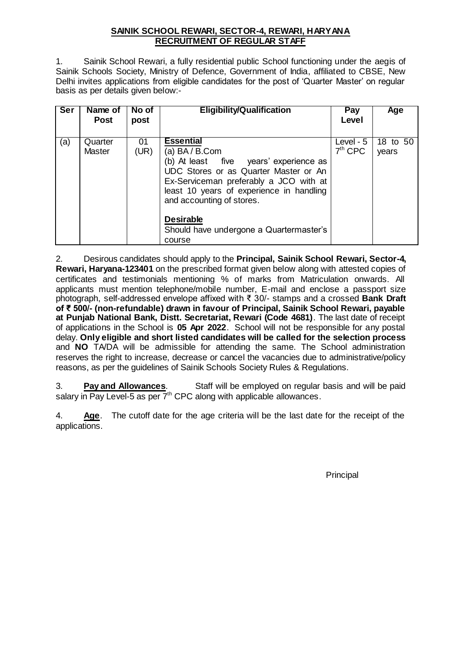## **SAINIK SCHOOL REWARI, SECTOR-4, REWARI, HARYANA RECRUITMENT OF REGULAR STAFF**

1. Sainik School Rewari, a fully residential public School functioning under the aegis of Sainik Schools Society, Ministry of Defence, Government of India, affiliated to CBSE, New Delhi invites applications from eligible candidates for the post of 'Quarter Master' on regular basis as per details given below:-

| <b>Ser</b> | Name of<br><b>Post</b>   | No of<br>post | <b>Eligibility/Qualification</b>                                                                                                                                                                                                                                                                                      | Pay<br>Level             | Age               |
|------------|--------------------------|---------------|-----------------------------------------------------------------------------------------------------------------------------------------------------------------------------------------------------------------------------------------------------------------------------------------------------------------------|--------------------------|-------------------|
| (a)        | Quarter<br><b>Master</b> | 01<br>(UR)    | <b>Essential</b><br>(a) $BA / B$ . Com<br>(b) At least five years' experience as<br>UDC Stores or as Quarter Master or An<br>Ex-Serviceman preferably a JCO with at<br>least 10 years of experience in handling<br>and accounting of stores.<br><b>Desirable</b><br>Should have undergone a Quartermaster's<br>course | Level - $5$<br>$7th$ CPC | 18 to 50<br>years |

2. Desirous candidates should apply to the **Principal, Sainik School Rewari, Sector-4, Rewari, Haryana-123401** on the prescribed format given below along with attested copies of certificates and testimonials mentioning % of marks from Matriculation onwards. All applicants must mention telephone/mobile number, E-mail and enclose a passport size photograph, self-addressed envelope affixed with ₹ 30/- stamps and a crossed **Bank Draft of ₹ 500/- (non-refundable) drawn in favour of Principal, Sainik School Rewari, payable at Punjab National Bank, Distt. Secretariat, Rewari (Code 4681)**. The last date of receipt of applications in the School is **05 Apr 2022**. School will not be responsible for any postal delay. **Only eligible and short listed candidates will be called for the selection process**  and **NO** TA/DA will be admissible for attending the same. The School administration reserves the right to increase, decrease or cancel the vacancies due to administrative/policy reasons, as per the guidelines of Sainik Schools Society Rules & Regulations.

3. **Pay and Allowances**. Staff will be employed on regular basis and will be paid salary in Pay Level-5 as per  $7<sup>th</sup>$  CPC along with applicable allowances.

4. **Age**. The cutoff date for the age criteria will be the last date for the receipt of the applications.

**Principal**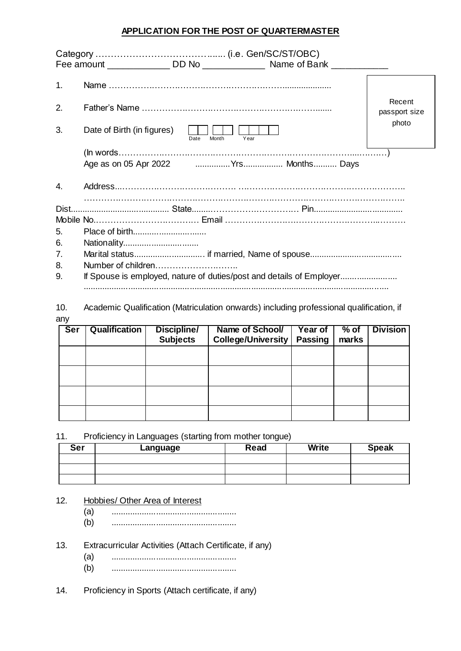# **APPLICATION FOR THE POST OF QUARTERMASTER**

|    | Fee amount _______________ DD No ________________ Name of Bank ____________ |                         |
|----|-----------------------------------------------------------------------------|-------------------------|
| 1. |                                                                             |                         |
| 2. |                                                                             | Recent<br>passport size |
| 3. | Date of Birth (in figures)<br>Year<br>Date<br>Month                         | photo                   |
|    |                                                                             |                         |
| 4. |                                                                             |                         |
|    |                                                                             |                         |
|    |                                                                             |                         |
| 5. |                                                                             |                         |
| 6. | Nationality                                                                 |                         |
| 7. |                                                                             |                         |
| 8. |                                                                             |                         |
| 9. | If Spouse is employed, nature of duties/post and details of Employer        |                         |

10. Academic Qualification (Matriculation onwards) including professional qualification, if any

| <b>Ser</b> | <b>Qualification</b> | Discipline/<br><b>Subjects</b> | Name of School/<br><b>College/University</b> | Year of<br><b>Passing</b> | $%$ of<br>marks | <b>Division</b> |
|------------|----------------------|--------------------------------|----------------------------------------------|---------------------------|-----------------|-----------------|
|            |                      |                                |                                              |                           |                 |                 |
|            |                      |                                |                                              |                           |                 |                 |
|            |                      |                                |                                              |                           |                 |                 |
|            |                      |                                |                                              |                           |                 |                 |

11. Proficiency in Languages (starting from mother tongue)

| <b>Ser</b> | Language | Read | <b>Write</b> | <b>Speak</b> |
|------------|----------|------|--------------|--------------|
|            |          |      |              |              |
|            |          |      |              |              |
|            |          |      |              |              |

#### 12. Hobbies/ Other Area of Interest

- (a) .....................................................
- (b) .....................................................

13. Extracurricular Activities (Attach Certificate, if any)

- (a) .....................................................
- (b) .....................................................

14. Proficiency in Sports (Attach certificate, if any)